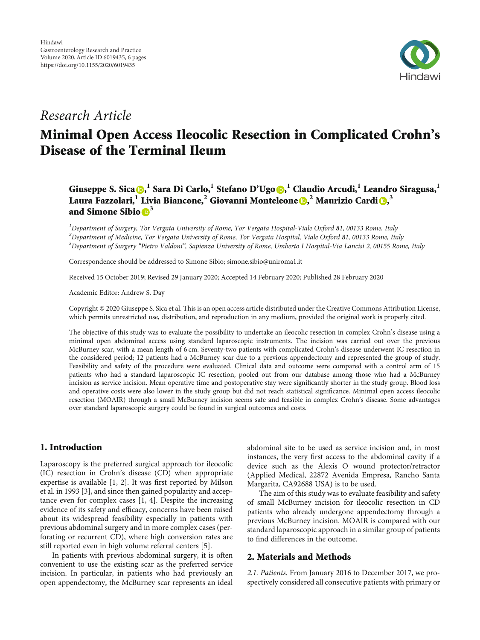

# Research Article

# Minimal Open Access Ileocolic Resection in Complicated Crohn's Disease of the Terminal Ileum

Giuseppe S. Sica <mark>(b[,](https://orcid.org/0000-0002-7073-0565) 1</mark> Sara Di Carlo, <sup>1</sup> Stefano D'Ugo (b, <sup>1</sup> Claudio Arcudi, <sup>1</sup> Leandro Siragusa, <sup>1</sup> Laura Fazzolari[,](https://orcid.org/0000-0002-7462-8568)<sup>1</sup> Livia Biancone,<sup>2</sup> Giovanni Monteleone D,<sup>2</sup> Maurizio Cardi D,<sup>3</sup> and Simone Sibio **B**<sup>3</sup>

<sup>1</sup>Department of Surgery, Tor Vergata University of Rome, Tor Vergata Hospital-Viale Oxford 81, 00133 Rome, Italy <sup>2</sup>Department of Medicine, Tor Vergata University of Rome, Tor Vergata Hospital, Viale Oxford 81, 00133 Rome, Italy <sup>3</sup>Department of Surgery "Pietro Valdoni", Sapienza University of Rome, Umberto I Hospital-Via Lancisi 2, 00155 Rome, Italy

Correspondence should be addressed to Simone Sibio; simone.sibio@uniroma1.it

Received 15 October 2019; Revised 29 January 2020; Accepted 14 February 2020; Published 28 February 2020

Academic Editor: Andrew S. Day

Copyright © 2020 Giuseppe S. Sica et al. This is an open access article distributed under the [Creative Commons Attribution License](https://creativecommons.org/licenses/by/4.0/), which permits unrestricted use, distribution, and reproduction in any medium, provided the original work is properly cited.

The objective of this study was to evaluate the possibility to undertake an ileocolic resection in complex Crohn's disease using a minimal open abdominal access using standard laparoscopic instruments. The incision was carried out over the previous McBurney scar, with a mean length of 6 cm. Seventy-two patients with complicated Crohn's disease underwent IC resection in the considered period; 12 patients had a McBurney scar due to a previous appendectomy and represented the group of study. Feasibility and safety of the procedure were evaluated. Clinical data and outcome were compared with a control arm of 15 patients who had a standard laparoscopic IC resection, pooled out from our database among those who had a McBurney incision as service incision. Mean operative time and postoperative stay were significantly shorter in the study group. Blood loss and operative costs were also lower in the study group but did not reach statistical significance. Minimal open access ileocolic resection (MOAIR) through a small McBurney incision seems safe and feasible in complex Crohn's disease. Some advantages over standard laparoscopic surgery could be found in surgical outcomes and costs.

# 1. Introduction

Laparoscopy is the preferred surgical approach for ileocolic (IC) resection in Crohn's disease (CD) when appropriate expertise is available [\[1,](#page-4-0) [2\]](#page-5-0). It was first reported by Milson et al. in 1993 [\[3\]](#page-5-0), and since then gained popularity and acceptance even for complex cases [\[1,](#page-4-0) [4](#page-5-0)]. Despite the increasing evidence of its safety and efficacy, concerns have been raised about its widespread feasibility especially in patients with previous abdominal surgery and in more complex cases (perforating or recurrent CD), where high conversion rates are still reported even in high volume referral centers [[5](#page-5-0)].

In patients with previous abdominal surgery, it is often convenient to use the existing scar as the preferred service incision. In particular, in patients who had previously an open appendectomy, the McBurney scar represents an ideal abdominal site to be used as service incision and, in most instances, the very first access to the abdominal cavity if a device such as the Alexis O wound protector/retractor (Applied Medical, 22872 Avenida Empresa, Rancho Santa Margarita, CA92688 USA) is to be used.

The aim of this study was to evaluate feasibility and safety of small McBurney incision for ileocolic resection in CD patients who already undergone appendectomy through a previous McBurney incision. MOAIR is compared with our standard laparoscopic approach in a similar group of patients to find differences in the outcome.

# 2. Materials and Methods

2.1. Patients. From January 2016 to December 2017, we prospectively considered all consecutive patients with primary or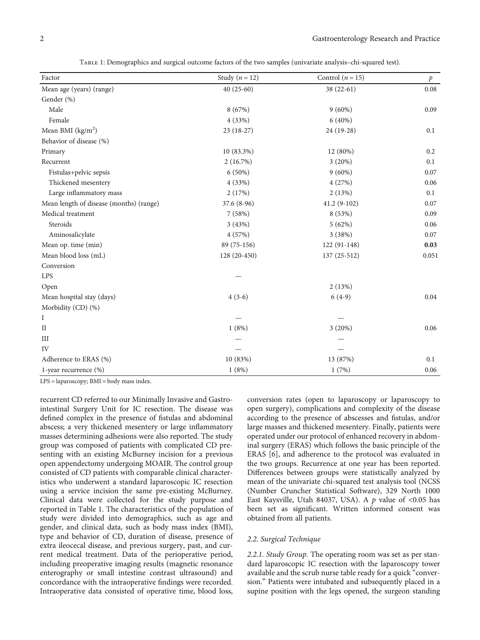<span id="page-1-0"></span>

| Factor                                  | Study ( $n = 12$ ) | Control $(n = 15)$ | $\mathcal{P}$ |
|-----------------------------------------|--------------------|--------------------|---------------|
| Mean age (years) (range)                | $40(25-60)$        | 38 (22-61)         | 0.08          |
| Gender (%)                              |                    |                    |               |
| Male                                    | 8(67%)             | $9(60\%)$          | 0.09          |
| Female                                  | 4(33%)             | 6(40%)             |               |
| Mean BMI $(kg/m2)$                      | $23(18-27)$        | 24 (19-28)         | 0.1           |
| Behavior of disease (%)                 |                    |                    |               |
| Primary                                 | 10 (83.3%)         | 12 (80%)           | 0.2           |
| Recurrent                               | 2(16.7%)           | 3(20%)             | 0.1           |
| Fistulas+pelvic sepsis                  | $6(50\%)$          | $9(60\%)$          | 0.07          |
| Thickened mesentery                     | 4(33%)             | 4(27%)             | 0.06          |
| Large inflammatory mass                 | 2(17%)             | 2(13%)             | 0.1           |
| Mean length of disease (months) (range) | 37.6 (8-96)        | $41.2(9-102)$      | 0.07          |
| Medical treatment                       | 7(58%)             | 8(53%)             | 0.09          |
| Steroids                                | 3(43%)             | 5(62%)             | 0.06          |
| Aminosalicylate                         | 4(57%)             | 3(38%)             | 0.07          |
| Mean op. time (min)                     | 89 (75-156)        | $122(91-148)$      | 0.03          |
| Mean blood loss (mL)                    | 128 (20-450)       | $137(25-512)$      | 0.051         |
| Conversion                              |                    |                    |               |
| <b>LPS</b>                              |                    |                    |               |
| Open                                    |                    | 2(13%)             |               |
| Mean hospital stay (days)               | $4(3-6)$           | $6(4-9)$           | 0.04          |
| Morbidity (CD) (%)                      |                    |                    |               |
| I                                       |                    |                    |               |
| $_{\rm II}$                             | 1(8%)              | 3 (20%)            | 0.06          |
| III                                     |                    |                    |               |
| IV                                      |                    |                    |               |
| Adherence to ERAS (%)                   | 10 (83%)           | 13 (87%)           | 0.1           |
| 1-year recurrence (%)                   | 1(8%)              | 1(7%)              | 0.06          |

Table 1: Demographics and surgical outcome factors of the two samples (univariate analysis–chi-squared test).

LPS = laparoscopy; BMI = body mass index.

recurrent CD referred to our Minimally Invasive and Gastrointestinal Surgery Unit for IC resection. The disease was defined complex in the presence of fistulas and abdominal abscess; a very thickened mesentery or large inflammatory masses determining adhesions were also reported. The study group was composed of patients with complicated CD presenting with an existing McBurney incision for a previous open appendectomy undergoing MOAIR. The control group consisted of CD patients with comparable clinical characteristics who underwent a standard laparoscopic IC resection using a service incision the same pre-existing McBurney. Clinical data were collected for the study purpose and reported in Table 1. The characteristics of the population of study were divided into demographics, such as age and gender, and clinical data, such as body mass index (BMI), type and behavior of CD, duration of disease, presence of extra ileocecal disease, and previous surgery, past, and current medical treatment. Data of the perioperative period, including preoperative imaging results (magnetic resonance enterography or small intestine contrast ultrasound) and concordance with the intraoperative findings were recorded. Intraoperative data consisted of operative time, blood loss, conversion rates (open to laparoscopy or laparoscopy to open surgery), complications and complexity of the disease according to the presence of abscesses and fistulas, and/or large masses and thickened mesentery. Finally, patients were operated under our protocol of enhanced recovery in abdominal surgery (ERAS) which follows the basic principle of the ERAS [[6](#page-5-0)], and adherence to the protocol was evaluated in the two groups. Recurrence at one year has been reported. Differences between groups were statistically analyzed by mean of the univariate chi-squared test analysis tool (NCSS (Number Cruncher Statistical Software), 329 North 1000 East Kaysville, Utah 84037, USA). A *p* value of <0.05 has been set as significant. Written informed consent was obtained from all patients.

#### 2.2. Surgical Technique

2.2.1. Study Group. The operating room was set as per standard laparoscopic IC resection with the laparoscopy tower available and the scrub nurse table ready for a quick "conversion." Patients were intubated and subsequently placed in a supine position with the legs opened, the surgeon standing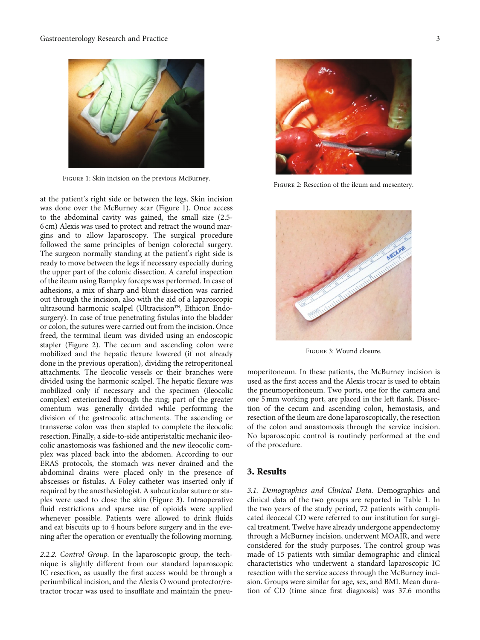

FIGURE 1: Skin incision on the previous McBurney.<br>FIGURE 2: Resection of the ileum and mesentery.

at the patient's right side or between the legs. Skin incision was done over the McBurney scar (Figure 1). Once access to the abdominal cavity was gained, the small size (2.5- 6 cm) Alexis was used to protect and retract the wound margins and to allow laparoscopy. The surgical procedure followed the same principles of benign colorectal surgery. The surgeon normally standing at the patient's right side is ready to move between the legs if necessary especially during the upper part of the colonic dissection. A careful inspection of the ileum using Rampley forceps was performed. In case of adhesions, a mix of sharp and blunt dissection was carried out through the incision, also with the aid of a laparoscopic ultrasound harmonic scalpel (Ultracision™, Ethicon Endosurgery). In case of true penetrating fistulas into the bladder or colon, the sutures were carried out from the incision. Once freed, the terminal ileum was divided using an endoscopic stapler (Figure 2). The cecum and ascending colon were mobilized and the hepatic flexure lowered (if not already done in the previous operation), dividing the retroperitoneal attachments. The ileocolic vessels or their branches were divided using the harmonic scalpel. The hepatic flexure was mobilized only if necessary and the specimen (ileocolic complex) exteriorized through the ring; part of the greater omentum was generally divided while performing the division of the gastrocolic attachments. The ascending or transverse colon was then stapled to complete the ileocolic resection. Finally, a side-to-side antiperistaltic mechanic ileocolic anastomosis was fashioned and the new ileocolic complex was placed back into the abdomen. According to our ERAS protocols, the stomach was never drained and the abdominal drains were placed only in the presence of abscesses or fistulas. A Foley catheter was inserted only if required by the anesthesiologist. A subcuticular suture or staples were used to close the skin (Figure 3). Intraoperative fluid restrictions and sparse use of opioids were applied whenever possible. Patients were allowed to drink fluids and eat biscuits up to 4 hours before surgery and in the evening after the operation or eventually the following morning.

2.2.2. Control Group. In the laparoscopic group, the technique is slightly different from our standard laparoscopic IC resection, as usually the first access would be through a periumbilical incision, and the Alexis O wound protector/retractor trocar was used to insufflate and maintain the pneu-





Figure 3: Wound closure.

moperitoneum. In these patients, the McBurney incision is used as the first access and the Alexis trocar is used to obtain the pneumoperitoneum. Two ports, one for the camera and one 5 mm working port, are placed in the left flank. Dissection of the cecum and ascending colon, hemostasis, and resection of the ileum are done laparoscopically, the resection of the colon and anastomosis through the service incision. No laparoscopic control is routinely performed at the end of the procedure.

#### 3. Results

3.1. Demographics and Clinical Data. Demographics and clinical data of the two groups are reported in Table [1](#page-1-0). In the two years of the study period, 72 patients with complicated ileocecal CD were referred to our institution for surgical treatment. Twelve have already undergone appendectomy through a McBurney incision, underwent MOAIR, and were considered for the study purposes. The control group was made of 15 patients with similar demographic and clinical characteristics who underwent a standard laparoscopic IC resection with the service access through the McBurney incision. Groups were similar for age, sex, and BMI. Mean duration of CD (time since first diagnosis) was 37.6 months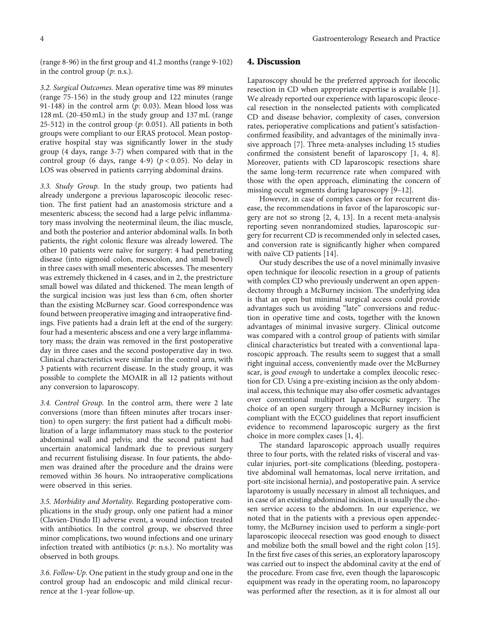(range 8-96) in the first group and 41.2 months (range 9-102) in the control group (*p*: n.s.).

3.2. Surgical Outcomes. Mean operative time was 89 minutes (range 75-156) in the study group and 122 minutes (range 91-148) in the control arm  $(p: 0.03)$ . Mean blood loss was 128 mL (20-450 mL) in the study group and 137 mL (range 25-512) in the control group (*p*: 0.051). All patients in both groups were compliant to our ERAS protocol. Mean postoperative hospital stay was significantly lower in the study group (4 days, range 3-7) when compared with that in the control group (6 days, range 4-9) ( $p < 0.05$ ). No delay in LOS was observed in patients carrying abdominal drains.

3.3. Study Group. In the study group, two patients had already undergone a previous laparoscopic ileocolic resection. The first patient had an anastomosis stricture and a mesenteric abscess; the second had a large pelvic inflammatory mass involving the neoterminal ileum, the iliac muscle, and both the posterior and anterior abdominal walls. In both patients, the right colonic flexure was already lowered. The other 10 patients were naïve for surgery: 4 had penetrating disease (into sigmoid colon, mesocolon, and small bowel) in three cases with small mesenteric abscesses. The mesentery was extremely thickened in 4 cases, and in 2, the prestricture small bowel was dilated and thickened. The mean length of the surgical incision was just less than 6 cm, often shorter than the existing McBurney scar. Good correspondence was found between preoperative imaging and intraoperative findings. Five patients had a drain left at the end of the surgery: four had a mesenteric abscess and one a very large inflammatory mass; the drain was removed in the first postoperative day in three cases and the second postoperative day in two. Clinical characteristics were similar in the control arm, with 3 patients with recurrent disease. In the study group, it was possible to complete the MOAIR in all 12 patients without any conversion to laparoscopy.

3.4. Control Group. In the control arm, there were 2 late conversions (more than fifteen minutes after trocars insertion) to open surgery: the first patient had a difficult mobilization of a large inflammatory mass stuck to the posterior abdominal wall and pelvis; and the second patient had uncertain anatomical landmark due to previous surgery and recurrent fistulising disease. In four patients, the abdomen was drained after the procedure and the drains were removed within 36 hours. No intraoperative complications were observed in this series.

3.5. Morbidity and Mortality. Regarding postoperative complications in the study group, only one patient had a minor (Clavien-Dindo II) adverse event, a wound infection treated with antibiotics. In the control group, we observed three minor complications, two wound infections and one urinary infection treated with antibiotics (*p*: n.s.). No mortality was observed in both groups.

3.6. Follow-Up. One patient in the study group and one in the control group had an endoscopic and mild clinical recurrence at the 1-year follow-up.

#### 4. Discussion

Laparoscopy should be the preferred approach for ileocolic resection in CD when appropriate expertise is available [[1](#page-4-0)]. We already reported our experience with laparoscopic ileocecal resection in the nonselected patients with complicated CD and disease behavior, complexity of cases, conversion rates, perioperative complications and patient's satisfactionconfirmed feasibility, and advantages of the minimally invasive approach [[7](#page-5-0)]. Three meta-analyses including 15 studies confirmed the consistent benefit of laparoscopy [\[1](#page-4-0), [4, 8](#page-5-0)]. Moreover, patients with CD laparoscopic resections share the same long-term recurrence rate when compared with those with the open approach, eliminating the concern of missing occult segments during laparoscopy [[9](#page-5-0)–[12](#page-5-0)].

However, in case of complex cases or for recurrent disease, the recommendations in favor of the laparoscopic surgery are not so strong [\[2, 4](#page-5-0), [13\]](#page-5-0). In a recent meta-analysis reporting seven nonrandomized studies, laparoscopic surgery for recurrent CD is recommended only in selected cases, and conversion rate is significantly higher when compared with naïve CD patients [[14](#page-5-0)].

Our study describes the use of a novel minimally invasive open technique for ileocolic resection in a group of patients with complex CD who previously underwent an open appendectomy through a McBurney incision. The underlying idea is that an open but minimal surgical access could provide advantages such us avoiding "late" conversions and reduction in operative time and costs, together with the known advantages of minimal invasive surgery. Clinical outcome was compared with a control group of patients with similar clinical characteristics but treated with a conventional laparoscopic approach. The results seem to suggest that a small right inguinal access, conveniently made over the McBurney scar, is good enough to undertake a complex ileocolic resection for CD. Using a pre-existing incision as the only abdominal access, this technique may also offer cosmetic advantages over conventional multiport laparoscopic surgery. The choice of an open surgery through a McBurney incision is compliant with the ECCO guidelines that report insufficient evidence to recommend laparoscopic surgery as the first choice in more complex cases [\[1](#page-4-0), [4\]](#page-5-0).

The standard laparoscopic approach usually requires three to four ports, with the related risks of visceral and vascular injuries, port-site complications (bleeding, postoperative abdominal wall hematomas, local nerve irritation, and port-site incisional hernia), and postoperative pain. A service laparotomy is usually necessary in almost all techniques, and in case of an existing abdominal incision, it is usually the chosen service access to the abdomen. In our experience, we noted that in the patients with a previous open appendectomy, the McBurney incision used to perform a single-port laparoscopic ileocecal resection was good enough to dissect and mobilize both the small bowel and the right colon [[15](#page-5-0)]. In the first five cases of this series, an exploratory laparoscopy was carried out to inspect the abdominal cavity at the end of the procedure. From case five, even though the laparoscopic equipment was ready in the operating room, no laparoscopy was performed after the resection, as it is for almost all our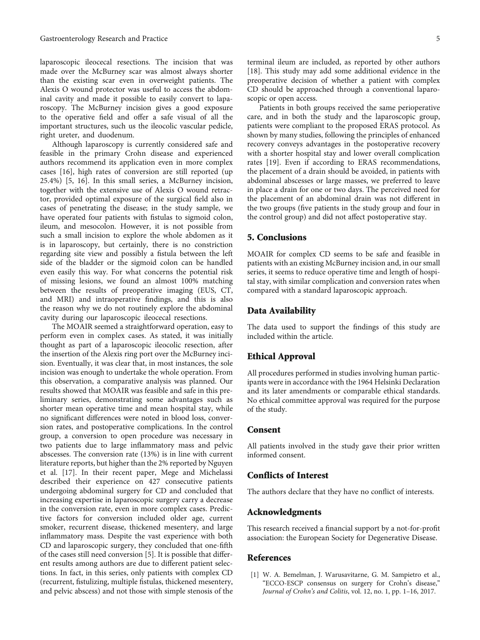<span id="page-4-0"></span>laparoscopic ileocecal resections. The incision that was made over the McBurney scar was almost always shorter than the existing scar even in overweight patients. The Alexis O wound protector was useful to access the abdominal cavity and made it possible to easily convert to laparoscopy. The McBurney incision gives a good exposure to the operative field and offer a safe visual of all the important structures, such us the ileocolic vascular pedicle, right ureter, and duodenum.

Although laparoscopy is currently considered safe and feasible in the primary Crohn disease and experienced authors recommend its application even in more complex cases [[16](#page-5-0)], high rates of conversion are still reported (up 25.4%) [\[5](#page-5-0), [16](#page-5-0)]. In this small series, a McBurney incision, together with the extensive use of Alexis O wound retractor, provided optimal exposure of the surgical field also in cases of penetrating the disease; in the study sample, we have operated four patients with fistulas to sigmoid colon, ileum, and mesocolon. However, it is not possible from such a small incision to explore the whole abdomen as it is in laparoscopy, but certainly, there is no constriction regarding site view and possibly a fistula between the left side of the bladder or the sigmoid colon can be handled even easily this way. For what concerns the potential risk of missing lesions, we found an almost 100% matching between the results of preoperative imaging (EUS, CT, and MRI) and intraoperative findings, and this is also the reason why we do not routinely explore the abdominal cavity during our laparoscopic ileocecal resections.

The MOAIR seemed a straightforward operation, easy to perform even in complex cases. As stated, it was initially thought as part of a laparoscopic ileocolic resection, after the insertion of the Alexis ring port over the McBurney incision. Eventually, it was clear that, in most instances, the sole incision was enough to undertake the whole operation. From this observation, a comparative analysis was planned. Our results showed that MOAIR was feasible and safe in this preliminary series, demonstrating some advantages such as shorter mean operative time and mean hospital stay, while no significant differences were noted in blood loss, conversion rates, and postoperative complications. In the control group, a conversion to open procedure was necessary in two patients due to large inflammatory mass and pelvic abscesses. The conversion rate (13%) is in line with current literature reports, but higher than the 2% reported by Nguyen et al. [[17](#page-5-0)]. In their recent paper, Mege and Michelassi described their experience on 427 consecutive patients undergoing abdominal surgery for CD and concluded that increasing expertise in laparoscopic surgery carry a decrease in the conversion rate, even in more complex cases. Predictive factors for conversion included older age, current smoker, recurrent disease, thickened mesentery, and large inflammatory mass. Despite the vast experience with both CD and laparoscopic surgery, they concluded that one-fifth of the cases still need conversion [\[5](#page-5-0)]. It is possible that different results among authors are due to different patient selections. In fact, in this series, only patients with complex CD (recurrent, fistulizing, multiple fistulas, thickened mesentery, and pelvic abscess) and not those with simple stenosis of the

terminal ileum are included, as reported by other authors [\[18](#page-5-0)]. This study may add some additional evidence in the preoperative decision of whether a patient with complex CD should be approached through a conventional laparoscopic or open access.

Patients in both groups received the same perioperative care, and in both the study and the laparoscopic group, patients were compliant to the proposed ERAS protocol. As shown by many studies, following the principles of enhanced recovery conveys advantages in the postoperative recovery with a shorter hospital stay and lower overall complication rates [\[19\]](#page-5-0). Even if according to ERAS recommendations, the placement of a drain should be avoided, in patients with abdominal abscesses or large masses, we preferred to leave in place a drain for one or two days. The perceived need for the placement of an abdominal drain was not different in the two groups (five patients in the study group and four in the control group) and did not affect postoperative stay.

### 5. Conclusions

MOAIR for complex CD seems to be safe and feasible in patients with an existing McBurney incision and, in our small series, it seems to reduce operative time and length of hospital stay, with similar complication and conversion rates when compared with a standard laparoscopic approach.

#### Data Availability

The data used to support the findings of this study are included within the article.

#### Ethical Approval

All procedures performed in studies involving human participants were in accordance with the 1964 Helsinki Declaration and its later amendments or comparable ethical standards. No ethical committee approval was required for the purpose of the study.

## Consent

All patients involved in the study gave their prior written informed consent.

#### Conflicts of Interest

The authors declare that they have no conflict of interests.

#### Acknowledgments

This research received a financial support by a not-for-profit association: the European Society for Degenerative Disease.

#### References

[1] W. A. Bemelman, J. Warusavitarne, G. M. Sampietro et al., "ECCO-ESCP consensus on surgery for Crohn's disease," Journal of Crohn's and Colitis, vol. 12, no. 1, pp. 1–16, 2017.